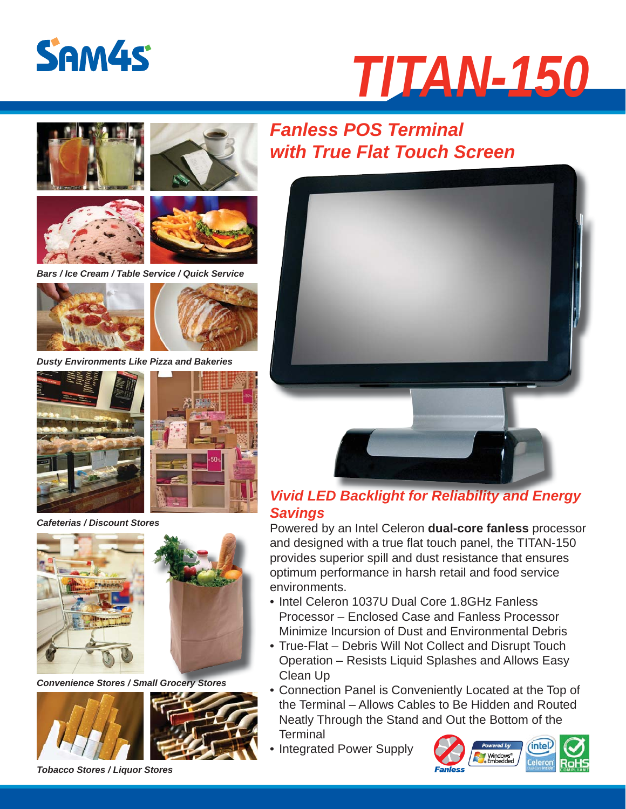

# *TITAN-150*









*Bars / Ice Cream / Table Service / Quick Service*





*Dusty Environments Like Pizza and Bakeries*



*Cafeterias / Discount Stores*



*Convenience Stores / Small Grocery Stores*



## *Fanless POS Terminal with True Flat Touch Screen*



### *Vivid LED Backlight for Reliability and Energy Vivid LED Backlight for Reliability and Energy Savings*

Powered by an Intel Celeron **dual-core fanless** processor and designed with a true flat touch panel, the TITAN-150 provides superior spill and dust resistance that ensures optimum performance in harsh retail and food service environments.

- Intel Celeron 1037U Dual Core 1.8GHz Fanless Processor – Enclosed Case and Fanless Processor Minimize Incursion of Dust and Environmental Debris
- True-Flat Debris Will Not Collect and Disrupt Touch Operation – Resists Liquid Splashes and Allows Easy Clean Up
- Connection Panel is Conveniently Located at the Top of the Terminal – Allows Cables to Be Hidden and Routed Neatly Through the Stand and Out the Bottom of the **Terminal**
- Integrated Power Supply



*Tobacco Stores / Liquor Stores*